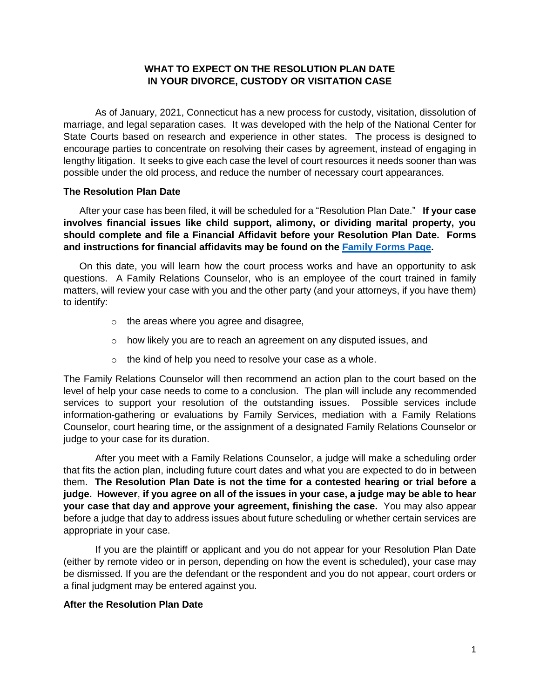## **WHAT TO EXPECT ON THE RESOLUTION PLAN DATE IN YOUR DIVORCE, CUSTODY OR VISITATION CASE**

As of January, 2021, Connecticut has a new process for custody, visitation, dissolution of marriage, and legal separation cases. It was developed with the help of the National Center for State Courts based on research and experience in other states. The process is designed to encourage parties to concentrate on resolving their cases by agreement, instead of engaging in lengthy litigation. It seeks to give each case the level of court resources it needs sooner than was possible under the old process, and reduce the number of necessary court appearances.

## **The Resolution Plan Date**

After your case has been filed, it will be scheduled for a "Resolution Plan Date." **If your case involves financial issues like child support, alimony, or dividing marital property, you should complete and file a Financial Affidavit before your Resolution Plan Date. Forms and instructions for financial affidavits may be found on the [Family Forms Page.](https://jud.ct.gov/webforms/default.aspx?load_catg=Family#familyGroupLinks)**

On this date, you will learn how the court process works and have an opportunity to ask questions. A Family Relations Counselor, who is an employee of the court trained in family matters, will review your case with you and the other party (and your attorneys, if you have them) to identify:

- o the areas where you agree and disagree,
- o how likely you are to reach an agreement on any disputed issues, and
- o the kind of help you need to resolve your case as a whole.

The Family Relations Counselor will then recommend an action plan to the court based on the level of help your case needs to come to a conclusion. The plan will include any recommended services to support your resolution of the outstanding issues. Possible services include information-gathering or evaluations by Family Services, mediation with a Family Relations Counselor, court hearing time, or the assignment of a designated Family Relations Counselor or judge to your case for its duration.

After you meet with a Family Relations Counselor, a judge will make a scheduling order that fits the action plan, including future court dates and what you are expected to do in between them. **The Resolution Plan Date is not the time for a contested hearing or trial before a judge. However**, **if you agree on all of the issues in your case, a judge may be able to hear your case that day and approve your agreement, finishing the case.** You may also appear before a judge that day to address issues about future scheduling or whether certain services are appropriate in your case.

If you are the plaintiff or applicant and you do not appear for your Resolution Plan Date (either by remote video or in person, depending on how the event is scheduled), your case may be dismissed. If you are the defendant or the respondent and you do not appear, court orders or a final judgment may be entered against you.

## **After the Resolution Plan Date**